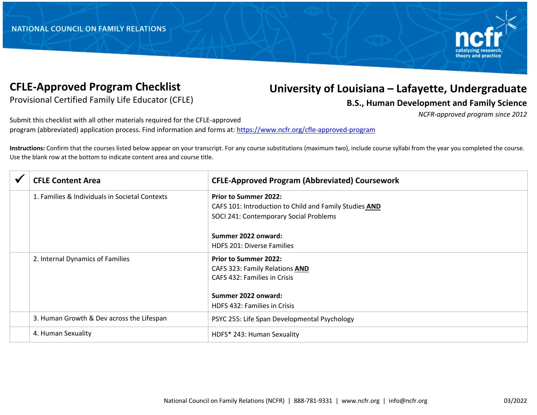

## **CFLE-Approved Program Checklist**

## **University of Louisiana – Lafayette, Undergraduate**

Provisional Certified Family Life Educator (CFLE)

**B.S., Human Development and Family Science**

*NCFR-approved program since 2012*

Submit this checklist with all other materials required for the CFLE-approved program (abbreviated) application process. Find information and forms at: https://www.ncfr.org/cfle-approved-program

**Instructions:** Confirm that the courses listed below appear on your transcript. For any course substitutions (maximum two), include course syllabi from the year you completed the course. Use the blank row at the bottom to indicate content area and course title.

|  | <b>CFLE Content Area</b>                       | <b>CFLE-Approved Program (Abbreviated) Coursework</b>  |
|--|------------------------------------------------|--------------------------------------------------------|
|  | 1. Families & Individuals in Societal Contexts | <b>Prior to Summer 2022:</b>                           |
|  |                                                | CAFS 101: Introduction to Child and Family Studies AND |
|  |                                                | SOCI 241: Contemporary Social Problems                 |
|  |                                                | Summer 2022 onward:                                    |
|  |                                                | <b>HDFS 201: Diverse Families</b>                      |
|  | 2. Internal Dynamics of Families               | <b>Prior to Summer 2022:</b>                           |
|  |                                                | CAFS 323: Family Relations AND                         |
|  |                                                | CAFS 432: Families in Crisis                           |
|  |                                                | Summer 2022 onward:                                    |
|  |                                                | <b>HDFS 432: Families in Crisis</b>                    |
|  | 3. Human Growth & Dev across the Lifespan      | PSYC 255: Life Span Developmental Psychology           |
|  | 4. Human Sexuality                             | HDFS* 243: Human Sexuality                             |